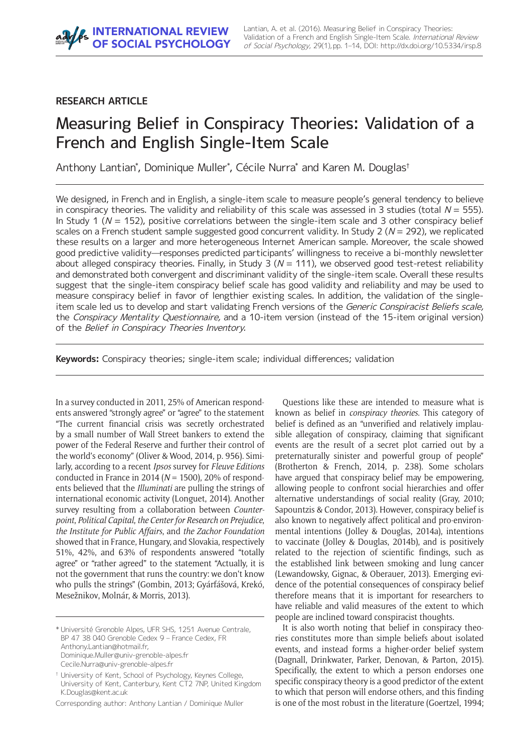# **RESEARCH ARTICLE**

# Measuring Belief in Conspiracy Theories: Validation of a French and English Single-Item Scale

Anthony Lantian\* , Dominique Muller\* , Cécile Nurra\* and Karen M. Douglas†

We designed, in French and in English, a single-item scale to measure people's general tendency to believe in conspiracy theories. The validity and reliability of this scale was assessed in 3 studies (total  $N = 555$ ). In Study 1 ( $N = 152$ ), positive correlations between the single-item scale and 3 other conspiracy belief scales on a French student sample suggested good concurrent validity. In Study 2 ( $N = 292$ ), we replicated these results on a larger and more heterogeneous Internet American sample. Moreover, the scale showed good predictive validity—responses predicted participants' willingness to receive a bi-monthly newsletter about alleged conspiracy theories. Finally, in Study 3 ( $N = 111$ ), we observed good test-retest reliability and demonstrated both convergent and discriminant validity of the single-item scale. Overall these results suggest that the single-item conspiracy belief scale has good validity and reliability and may be used to measure conspiracy belief in favor of lengthier existing scales. In addition, the validation of the singleitem scale led us to develop and start validating French versions of the Generic Conspiracist Beliefs scale, the Conspiracy Mentality Questionnaire, and a 10-item version (instead of the 15-item original version) of the Belief in Conspiracy Theories Inventory.

**Keywords:** Conspiracy theories; single-item scale; individual differences; validation

In a survey conducted in 2011, 25% of American respondents answered "strongly agree" or "agree" to the statement "The current financial crisis was secretly orchestrated by a small number of Wall Street bankers to extend the power of the Federal Reserve and further their control of the world's economy" (Oliver & Wood, 2014, p. 956). Similarly, according to a recent *Ipsos* survey for *Fleuve Editions* conducted in France in 2014 (*N* = 1500), 20% of respondents believed that the *Illuminati* are pulling the strings of international economic activity (Longuet, 2014). Another survey resulting from a collaboration between *Counterpoint*, *Political Capital*, *the Center for Research on Prejudice*, *the Institute for Public Affairs*, and *the Zachor Foundation* showed that in France, Hungary, and Slovakia, respectively 51%, 42%, and 63% of respondents answered "totally agree" or "rather agreed" to the statement "Actually, it is not the government that runs the country: we don't know who pulls the strings" (Gombin, 2013; Gyárfášová, Krekó, Mesežnikov, Molnár, & Morris, 2013).

\* Université Grenoble Alpes, UFR SHS, 1251 Avenue Centrale, BP 47 38 040 Grenoble Cedex 9 – France Cedex, FR [Anthony.Lantian@hotmail.fr,](mailto:Anthony.Lantian@hotmail.fr) [Dominique.Muller@univ-grenoble-alpes.fr](mailto:Dominique.Muller@univ-grenoble-alpes.fr) [Cecile.Nurra@univ-grenoble-alpes.fr](mailto:Cecile.Nurra@univ-grenoble-alpes.fr)

Corresponding author: Anthony Lantian / Dominique Muller

Questions like these are intended to measure what is known as belief in *conspiracy theories*. This category of belief is defined as an "unverified and relatively implausible allegation of conspiracy, claiming that significant events are the result of a secret plot carried out by a preternaturally sinister and powerful group of people" (Brotherton & French, 2014, p. 238). Some scholars have argued that conspiracy belief may be empowering, allowing people to confront social hierarchies and offer alternative understandings of social reality (Gray, 2010; Sapountzis & Condor, 2013). However, conspiracy belief is also known to negatively affect political and pro-environmental intentions (Jolley & Douglas, 2014a), intentions to vaccinate (Jolley & Douglas, 2014b), and is positively related to the rejection of scientific findings, such as the established link between smoking and lung cancer (Lewandowsky, Gignac, & Oberauer, 2013). Emerging evidence of the potential consequences of conspiracy belief therefore means that it is important for researchers to have reliable and valid measures of the extent to which people are inclined toward conspiracist thoughts.

It is also worth noting that belief in conspiracy theories constitutes more than simple beliefs about isolated events, and instead forms a higher-order belief system (Dagnall, Drinkwater, Parker, Denovan, & Parton, 2015). Specifically, the extent to which a person endorses one specific conspiracy theory is a good predictor of the extent to which that person will endorse others, and this finding is one of the most robust in the literature (Goertzel, 1994;

<sup>†</sup> University of Kent, School of Psychology, Keynes College, University of Kent, Canterbury, Kent CT2 7NP, United Kingdom [K.Douglas@kent.ac.uk](mailto:K.Douglas@kent.ac.uk)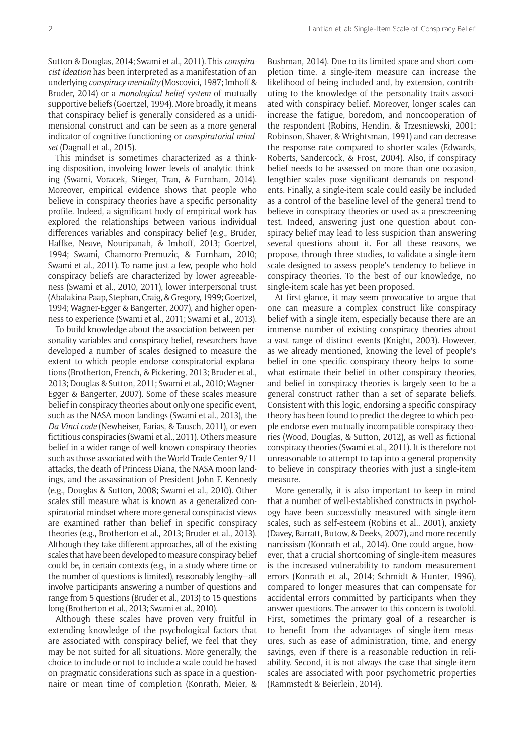Sutton & Douglas, 2014; Swami et al., 2011). This *conspiracist ideation* has been interpreted as a manifestation of an underlying *conspiracy mentality* (Moscovici, 1987; Imhoff & Bruder, 2014) or a *monological belief system* of mutually supportive beliefs (Goertzel, 1994). More broadly, it means that conspiracy belief is generally considered as a unidimensional construct and can be seen as a more general indicator of cognitive functioning or *conspiratorial mindset* (Dagnall et al., 2015).

This mindset is sometimes characterized as a thinking disposition, involving lower levels of analytic thinking (Swami, Voracek, Stieger, Tran, & Furnham, 2014). Moreover, empirical evidence shows that people who believe in conspiracy theories have a specific personality profile. Indeed, a significant body of empirical work has explored the relationships between various individual differences variables and conspiracy belief (e.g., Bruder, Haffke, Neave, Nouripanah, & Imhoff, 2013; Goertzel, 1994; Swami, Chamorro-Premuzic, & Furnham, 2010; Swami et al., 2011). To name just a few, people who hold conspiracy beliefs are characterized by lower agreeableness (Swami et al., 2010, 2011), lower interpersonal trust (Abalakina-Paap, Stephan, Craig, & Gregory, 1999; Goertzel, 1994; Wagner-Egger & Bangerter, 2007), and higher openness to experience (Swami et al., 2011; Swami et al., 2013).

To build knowledge about the association between personality variables and conspiracy belief, researchers have developed a number of scales designed to measure the extent to which people endorse conspiratorial explanations (Brotherton, French, & Pickering, 2013; Bruder et al., 2013; Douglas & Sutton, 2011; Swami et al., 2010; Wagner-Egger & Bangerter, 2007). Some of these scales measure belief in conspiracy theories about only one specific event, such as the NASA moon landings (Swami et al., 2013), the *Da Vinci code* (Newheiser, Farias, & Tausch, 2011), or even fictitious conspiracies (Swami et al., 2011). Others measure belief in a wider range of well-known conspiracy theories such as those associated with the World Trade Center 9/11 attacks, the death of Princess Diana, the NASA moon landings, and the assassination of President John F. Kennedy (e.g., Douglas & Sutton, 2008; Swami et al., 2010). Other scales still measure what is known as a generalized conspiratorial mindset where more general conspiracist views are examined rather than belief in specific conspiracy theories (e.g., Brotherton et al., 2013; Bruder et al., 2013). Although they take different approaches, all of the existing scales that have been developed to measure conspiracy belief could be, in certain contexts (e.g., in a study where time or the number of questions is limited), reasonably lengthy—all involve participants answering a number of questions and range from 5 questions (Bruder et al., 2013) to 15 questions long (Brotherton et al., 2013; Swami et al., 2010).

Although these scales have proven very fruitful in extending knowledge of the psychological factors that are associated with conspiracy belief, we feel that they may be not suited for all situations. More generally, the choice to include or not to include a scale could be based on pragmatic considerations such as space in a questionnaire or mean time of completion (Konrath, Meier, &

Bushman, 2014). Due to its limited space and short completion time, a single-item measure can increase the likelihood of being included and, by extension, contributing to the knowledge of the personality traits associated with conspiracy belief. Moreover, longer scales can increase the fatigue, boredom, and noncooperation of the respondent (Robins, Hendin, & Trzesniewski, 2001; Robinson, Shaver, & Wrightsman, 1991) and can decrease the response rate compared to shorter scales (Edwards, Roberts, Sandercock, & Frost, 2004). Also, if conspiracy belief needs to be assessed on more than one occasion, lengthier scales pose significant demands on respondents. Finally, a single-item scale could easily be included as a control of the baseline level of the general trend to believe in conspiracy theories or used as a prescreening test. Indeed, answering just one question about conspiracy belief may lead to less suspicion than answering several questions about it. For all these reasons, we propose, through three studies, to validate a single-item scale designed to assess people's tendency to believe in conspiracy theories. To the best of our knowledge, no single-item scale has yet been proposed.

At first glance, it may seem provocative to argue that one can measure a complex construct like conspiracy belief with a single item, especially because there are an immense number of existing conspiracy theories about a vast range of distinct events (Knight, 2003). However, as we already mentioned, knowing the level of people's belief in one specific conspiracy theory helps to somewhat estimate their belief in other conspiracy theories, and belief in conspiracy theories is largely seen to be a general construct rather than a set of separate beliefs. Consistent with this logic, endorsing a specific conspiracy theory has been found to predict the degree to which people endorse even mutually incompatible conspiracy theories (Wood, Douglas, & Sutton, 2012), as well as fictional conspiracy theories (Swami et al., 2011). It is therefore not unreasonable to attempt to tap into a general propensity to believe in conspiracy theories with just a single-item measure.

More generally, it is also important to keep in mind that a number of well-established constructs in psychology have been successfully measured with single-item scales, such as self-esteem (Robins et al., 2001), anxiety (Davey, Barratt, Butow, & Deeks, 2007), and more recently narcissism (Konrath et al., 2014). One could argue, however, that a crucial shortcoming of single-item measures is the increased vulnerability to random measurement errors (Konrath et al., 2014; Schmidt & Hunter, 1996), compared to longer measures that can compensate for accidental errors committed by participants when they answer questions. The answer to this concern is twofold. First, sometimes the primary goal of a researcher is to benefit from the advantages of single-item measures, such as ease of administration, time, and energy savings, even if there is a reasonable reduction in reliability. Second, it is not always the case that single-item scales are associated with poor psychometric properties (Rammstedt & Beierlein, 2014).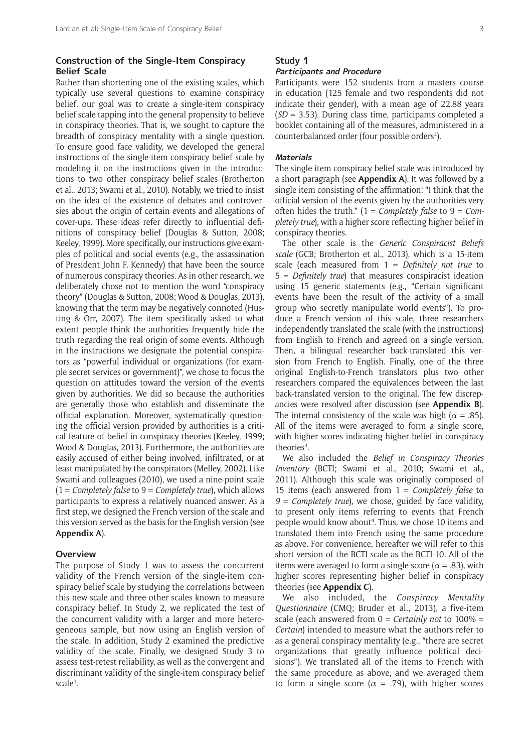# **Construction of the Single-Item Conspiracy Belief Scale**

Rather than shortening one of the existing scales, which typically use several questions to examine conspiracy belief, our goal was to create a single-item conspiracy belief scale tapping into the general propensity to believe in conspiracy theories. That is, we sought to capture the breadth of conspiracy mentality with a single question. To ensure good face validity, we developed the general instructions of the single-item conspiracy belief scale by modeling it on the instructions given in the introductions to two other conspiracy belief scales (Brotherton et al., 2013; Swami et al., 2010). Notably, we tried to insist on the idea of the existence of debates and controversies about the origin of certain events and allegations of cover-ups. These ideas refer directly to influential definitions of conspiracy belief (Douglas & Sutton, 2008; Keeley, 1999). More specifically, our instructions give examples of political and social events (e.g., the assassination of President John F. Kennedy) that have been the source of numerous conspiracy theories. As in other research, we deliberately chose not to mention the word "conspiracy theory" (Douglas & Sutton, 2008; Wood & Douglas, 2013), knowing that the term may be negatively connoted (Husting & Orr, 2007). The item specifically asked to what extent people think the authorities frequently hide the truth regarding the real origin of some events. Although in the instructions we designate the potential conspirators as "powerful individual or organizations (for example secret services or government)", we chose to focus the question on attitudes toward the version of the events given by authorities. We did so because the authorities are generally those who establish and disseminate the official explanation. Moreover, systematically questioning the official version provided by authorities is a critical feature of belief in conspiracy theories (Keeley, 1999; Wood & Douglas, 2013). Furthermore, the authorities are easily accused of either being involved, infiltrated, or at least manipulated by the conspirators (Melley, 2002). Like Swami and colleagues (2010), we used a nine-point scale (1 = *Completely false* to 9 = *Completely true*), which allows participants to express a relatively nuanced answer. As a first step, we designed the French version of the scale and this version served as the basis for the English version (see **[Appendix A](https://s3-eu-west-1.amazonaws.com/ubiquity-partner-network/up/journal/rips/irsp-8_lantian-appendixes.pdf)**).

# **Overview**

The purpose of Study 1 was to assess the concurrent validity of the French version of the single-item conspiracy belief scale by studying the correlations between this new scale and three other scales known to measure conspiracy belief. In Study 2, we replicated the test of the concurrent validity with a larger and more heterogeneous sample, but now using an English version of the scale. In addition, Study 2 examined the predictive validity of the scale. Finally, we designed Study 3 to assess test-retest reliability, as well as the convergent and discriminant validity of the single-item conspiracy belief scale<sup>1</sup>.

# **Study 1**

# **Participants and Procedure**

Participants were 152 students from a masters course in education (125 female and two respondents did not indicate their gender), with a mean age of 22.88 years (*SD =* 3.53). During class time, participants completed a booklet containing all of the measures, administered in a counterbalanced order (four possible orders<sup>2</sup>).

#### **Materials**

The single-item conspiracy belief scale was introduced by a short paragraph (see **[Appendix A](https://s3-eu-west-1.amazonaws.com/ubiquity-partner-network/up/journal/rips/irsp-8_lantian-appendixes.pdf)**). It was followed by a single item consisting of the affirmation: "I think that the official version of the events given by the authorities very often hides the truth." (1 = *Completely false* to 9 = *Completely true*), with a higher score reflecting higher belief in conspiracy theories.

The other scale is the *Generic Conspiracist Beliefs scale* (GCB; Brotherton et al., 2013), which is a 15-item scale (each measured from 1 = *Definitely not true* to 5 = *Definitely true*) that measures conspiracist ideation using 15 generic statements (e.g., "Certain significant events have been the result of the activity of a small group who secretly manipulate world events"). To produce a French version of this scale, three researchers independently translated the scale (with the instructions) from English to French and agreed on a single version. Then, a bilingual researcher back-translated this version from French to English. Finally, one of the three original English-to-French translators plus two other researchers compared the equivalences between the last back-translated version to the original. The few discrepancies were resolved after discussion (see **[Appendix B](https://s3-eu-west-1.amazonaws.com/ubiquity-partner-network/up/journal/rips/irsp-8_lantian-appendixes.pdf)**). The internal consistency of the scale was high ( $\alpha = .85$ ). All of the items were averaged to form a single score, with higher scores indicating higher belief in conspiracy theories<sup>3</sup>.

We also included the *Belief in Conspiracy Theories Inventory* (BCTI; Swami et al., 2010; Swami et al., 2011). Although this scale was originally composed of 15 items (each answered from 1 = *Completely false* to *9 = Completely true*), we chose, guided by face validity, to present only items referring to events that French people would know about<sup>4</sup>. Thus, we chose 10 items and translated them into French using the same procedure as above. For convenience, hereafter we will refer to this short version of the BCTI scale as the BCTI-10. All of the items were averaged to form a single score ( $\alpha$  = .83), with higher scores representing higher belief in conspiracy theories (see **[Appendix C](https://s3-eu-west-1.amazonaws.com/ubiquity-partner-network/up/journal/rips/irsp-8_lantian-appendixes.pdf)**).

We also included, the *Conspiracy Mentality Questionnaire* (CMQ; Bruder et al., 2013), a five-item scale (each answered from 0 = *Certainly not* to 100% = *Certain*) intended to measure what the authors refer to as a general conspiracy mentality (e.g., "there are secret organizations that greatly influence political decisions"). We translated all of the items to French with the same procedure as above, and we averaged them to form a single score ( $\alpha$  = .79), with higher scores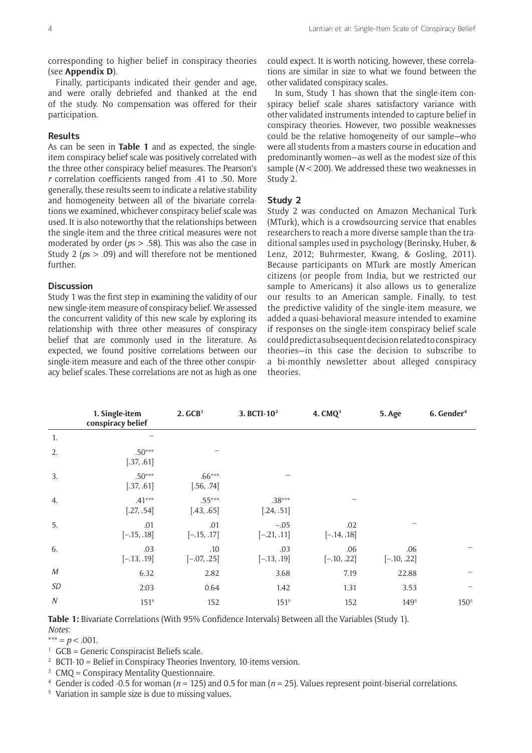corresponding to higher belief in conspiracy theories (see **[Appendix D](https://s3-eu-west-1.amazonaws.com/ubiquity-partner-network/up/journal/rips/irsp-8_lantian-appendixes.pdf)**).

Finally, participants indicated their gender and age, and were orally debriefed and thanked at the end of the study. No compensation was offered for their participation.

# **Results**

As can be seen in **Table 1** and as expected, the singleitem conspiracy belief scale was positively correlated with the three other conspiracy belief measures. The Pearson's *r* correlation coefficients ranged from .41 to .50. More generally, these results seem to indicate a relative stability and homogeneity between all of the bivariate correlations we examined, whichever conspiracy belief scale was used. It is also noteworthy that the relationships between the single-item and the three critical measures were not moderated by order (*p*s > .58). This was also the case in Study 2 (*p*s > .09) and will therefore not be mentioned further.

### **Discussion**

Study 1 was the first step in examining the validity of our new single-item measure of conspiracy belief. We assessed the concurrent validity of this new scale by exploring its relationship with three other measures of conspiracy belief that are commonly used in the literature. As expected, we found positive correlations between our single-item measure and each of the three other conspiracy belief scales. These correlations are not as high as one

could expect. It is worth noticing, however, these correlations are similar in size to what we found between the other validated conspiracy scales.

In sum, Study 1 has shown that the single-item conspiracy belief scale shares satisfactory variance with other validated instruments intended to capture belief in conspiracy theories. However, two possible weaknesses could be the relative homogeneity of our sample—who were all students from a masters course in education and predominantly women—as well as the modest size of this sample (*N* < 200). We addressed these two weaknesses in Study 2.

# **Study 2**

Study 2 was conducted on Amazon Mechanical Turk (MTurk), which is a crowdsourcing service that enables researchers to reach a more diverse sample than the traditional samples used in psychology (Berinsky, Huber, & Lenz, 2012; Buhrmester, Kwang, & Gosling, 2011). Because participants on MTurk are mostly American citizens (or people from India, but we restricted our sample to Americans) it also allows us to generalize our results to an American sample. Finally, to test the predictive validity of the single-item measure, we added a quasi-behavioral measure intended to examine if responses on the single-item conspiracy belief scale could predict a subsequent decision related to conspiracy theories—in this case the decision to subscribe to a bi-monthly newsletter about alleged conspiracy theories.

|                  | 1. Single-item<br>conspiracy belief | 2. GCB <sup>1</sup>    | 3. BCTI-10 <sup>2</sup> | 4. CMQ <sup>3</sup>  | 5. Age               | 6. Gender <sup>4</sup> |
|------------------|-------------------------------------|------------------------|-------------------------|----------------------|----------------------|------------------------|
| 1.               |                                     |                        |                         |                      |                      |                        |
| 2.               | $.50***$<br>[.37, .61]              |                        |                         |                      |                      |                        |
| 3.               | $.50***$<br>[.37, .61]              | $.66***$<br>[.56, .74] |                         |                      |                      |                        |
| 4.               | $.41***$<br>[.27, .54]              | $.55***$<br>[.43, .65] | $.38***$<br>[.24, .51]  |                      |                      |                        |
| 5.               | .01<br>$[-.15, .18]$                | .01<br>$[-.15, .17]$   | $-.05$<br>$[-.21, .11]$ | .02<br>$[-.14, .18]$ |                      |                        |
| 6.               | .03<br>$[-.13, .19]$                | .10<br>$[-.07, .25]$   | .03<br>$[-.13, .19]$    | .06<br>$[-.10, .22]$ | .06<br>$[-.10, .22]$ |                        |
| $M_{\rm}$        | 6.32                                | 2.82                   | 3.68                    | 7.19                 | 22.88                |                        |
| SD               | 2.03                                | 0.64                   | 1.42                    | 1.31                 | 3.53                 |                        |
| $\boldsymbol{N}$ | $151^5$                             | 152                    | $151^{5}$               | 152                  | 1495                 | 150 <sup>5</sup>       |

**Table 1:** Bivariate Correlations (With 95% Confidence Intervals) Between all the Variables (Study 1). *Notes*:

 $*** = p < .001$ .

- <sup>1</sup> GCB = Generic Conspiracist Beliefs scale.
- <sup>2</sup> BCTI-10 = Belief in Conspiracy Theories Inventory, 10-items version.
- <sup>3</sup> CMO = Conspiracy Mentality Questionnaire.
- <sup>4</sup> Gender is coded -0.5 for woman ( $n = 125$ ) and 0.5 for man ( $n = 25$ ). Values represent point-biserial correlations.
- <sup>5</sup> Variation in sample size is due to missing values.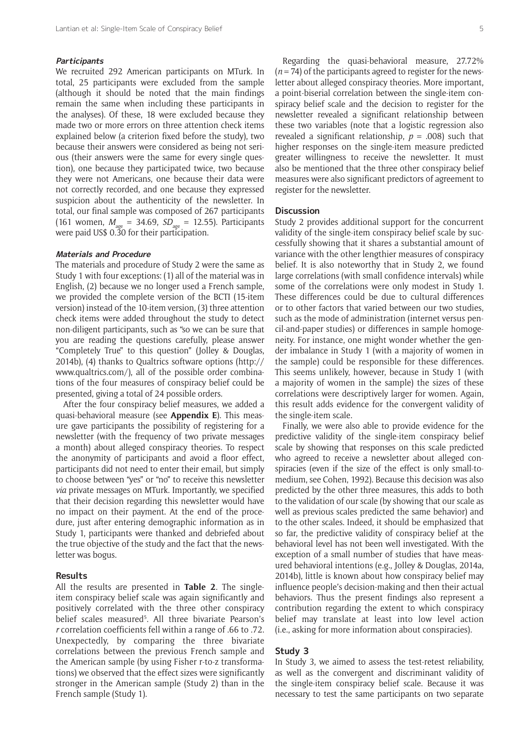#### **Participants**

We recruited 292 American participants on MTurk. In total, 25 participants were excluded from the sample (although it should be noted that the main findings remain the same when including these participants in the analyses). Of these, 18 were excluded because they made two or more errors on three attention check items explained below (a criterion fixed before the study), two because their answers were considered as being not serious (their answers were the same for every single question), one because they participated twice, two because they were not Americans, one because their data were not correctly recorded, and one because they expressed suspicion about the authenticity of the newsletter. In total, our final sample was composed of 267 participants (161 women,  $M_{\text{age}} = 34.69$ ,  $SD_{\text{age}} = 12.55$ ). Participants were paid US\$ 0.30 for their participation.

#### **Materials and Procedure**

The materials and procedure of Study 2 were the same as Study 1 with four exceptions: (1) all of the material was in English, (2) because we no longer used a French sample, we provided the complete version of the BCTI (15-item version) instead of the 10-item version, (3) three attention check items were added throughout the study to detect non-diligent participants, such as "so we can be sure that you are reading the questions carefully, please answer "Completely True" to this question" (Jolley & Douglas, 2014b), (4) thanks to Qualtrics software options ([http://](http://www.qualtrics.com/) [www.qualtrics.com/\)](http://www.qualtrics.com/), all of the possible order combinations of the four measures of conspiracy belief could be presented, giving a total of 24 possible orders.

After the four conspiracy belief measures, we added a quasi-behavioral measure (see **[Appendix E](https://s3-eu-west-1.amazonaws.com/ubiquity-partner-network/up/journal/rips/irsp-8_lantian-appendixes.pdf)**). This measure gave participants the possibility of registering for a newsletter (with the frequency of two private messages a month) about alleged conspiracy theories. To respect the anonymity of participants and avoid a floor effect, participants did not need to enter their email, but simply to choose between "yes" or "no" to receive this newsletter *via* private messages on MTurk. Importantly, we specified that their decision regarding this newsletter would have no impact on their payment. At the end of the procedure, just after entering demographic information as in Study 1, participants were thanked and debriefed about the true objective of the study and the fact that the newsletter was bogus.

#### **Results**

All the results are presented in **Table 2**. The singleitem conspiracy belief scale was again significantly and positively correlated with the three other conspiracy belief scales measured<sup>5</sup>. All three bivariate Pearson's *r* correlation coefficients fell within a range of .66 to .72. Unexpectedly, by comparing the three bivariate correlations between the previous French sample and the American sample (by using Fisher r-to-z transformations) we observed that the effect sizes were significantly stronger in the American sample (Study 2) than in the French sample (Study 1).

Regarding the quasi-behavioral measure, 27.72% (*n* = 74) of the participants agreed to register for the newsletter about alleged conspiracy theories. More important, a point-biserial correlation between the single-item conspiracy belief scale and the decision to register for the newsletter revealed a significant relationship between these two variables (note that a logistic regression also revealed a significant relationship,  $p = .008$ ) such that higher responses on the single-item measure predicted greater willingness to receive the newsletter. It must also be mentioned that the three other conspiracy belief measures were also significant predictors of agreement to register for the newsletter.

# **Discussion**

Study 2 provides additional support for the concurrent validity of the single-item conspiracy belief scale by successfully showing that it shares a substantial amount of variance with the other lengthier measures of conspiracy belief. It is also noteworthy that in Study 2, we found large correlations (with small confidence intervals) while some of the correlations were only modest in Study 1. These differences could be due to cultural differences or to other factors that varied between our two studies, such as the mode of administration (internet versus pencil-and-paper studies) or differences in sample homogeneity. For instance, one might wonder whether the gender imbalance in Study 1 (with a majority of women in the sample) could be responsible for these differences. This seems unlikely, however, because in Study 1 (with a majority of women in the sample) the sizes of these correlations were descriptively larger for women. Again, this result adds evidence for the convergent validity of the single-item scale.

Finally, we were also able to provide evidence for the predictive validity of the single-item conspiracy belief scale by showing that responses on this scale predicted who agreed to receive a newsletter about alleged conspiracies (even if the size of the effect is only small-tomedium, see Cohen, 1992). Because this decision was also predicted by the other three measures, this adds to both to the validation of our scale (by showing that our scale as well as previous scales predicted the same behavior) and to the other scales. Indeed, it should be emphasized that so far, the predictive validity of conspiracy belief at the behavioral level has not been well investigated. With the exception of a small number of studies that have measured behavioral intentions (e.g., Jolley & Douglas, 2014a, 2014b), little is known about how conspiracy belief may influence people's decision-making and then their actual behaviors. Thus the present findings also represent a contribution regarding the extent to which conspiracy belief may translate at least into low level action (i.e., asking for more information about conspiracies).

### **Study 3**

In Study 3, we aimed to assess the test-retest reliability, as well as the convergent and discriminant validity of the single-item conspiracy belief scale. Because it was necessary to test the same participants on two separate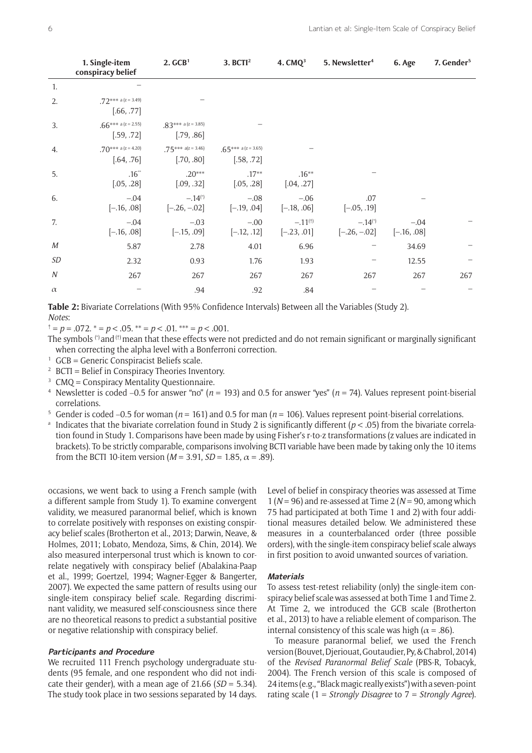|                  | 1. Single-item<br>conspiracy belief | 2. GCB <sup>1</sup>                     | 3. BCTI <sup>2</sup>                | 4. $CMQ3$                     | 5. Newsletter <sup>4</sup>              | 6. Age                  | 7. Gender <sup>5</sup> |
|------------------|-------------------------------------|-----------------------------------------|-------------------------------------|-------------------------------|-----------------------------------------|-------------------------|------------------------|
| 1.               |                                     |                                         |                                     |                               |                                         |                         |                        |
| 2.               | $72*** a (z = 3.49)$<br>[.66, .77]  |                                         |                                     |                               |                                         |                         |                        |
| 3.               | .66*** a (z = 2.55)<br>[.59, .72]   | $.83***$ a (z = 3.85)<br>[.79, .86]     |                                     |                               |                                         |                         |                        |
| 4.               | .70*** a (z = 4.20)<br>[.64, .76]   | $.75***$ a(z = 3.46)<br>[.70, .80]      | $.65***$ a (z = 3.65)<br>[.58, .72] |                               |                                         |                         |                        |
| 5.               | $.16**$<br>[.05, .28]               | $.20***$<br>[.09, .32]                  | $.17**$<br>[.05, .28]               | $.16***$<br>[.04, .27]        |                                         |                         |                        |
| 6.               | $-.04$<br>$[-.16, .08]$             | $-.14$ <sup>(*)</sup><br>$[-.26, -.02]$ | $-.08$<br>$[-.19, .04]$             | $-.06$<br>$[-.18, .06]$       | .07<br>$[-.05, .19]$                    |                         |                        |
| 7.               | $-.04$<br>$[-.16, .08]$             | $-.03$<br>$[-.15, .09]$                 | $-.00$<br>$[-.12, .12]$             | $-.11^{(†)}$<br>$[-.23, .01]$ | $-.14$ <sup>(*)</sup><br>$[-.26, -.02]$ | $-.04$<br>$[-.16, .08]$ |                        |
| М                | 5.87                                | 2.78                                    | 4.01                                | 6.96                          |                                         | 34.69                   |                        |
| SD               | 2.32                                | 0.93                                    | 1.76                                | 1.93                          |                                         | 12.55                   |                        |
| $\boldsymbol{N}$ | 267                                 | 267                                     | 267                                 | 267                           | 267                                     | 267                     | 267                    |
| $\alpha$         |                                     | .94                                     | .92                                 | .84                           |                                         |                         |                        |

**Table 2:** Bivariate Correlations (With 95% Confidence Intervals) Between all the Variables (Study 2). *Notes*:

† = *p* = .072. \* = *p* < .05. \*\* = *p* < .01. \*\*\* = *p* < .001.

- The symbols  $(')$  and  $(')$  mean that these effects were not predicted and do not remain significant or marginally significant when correcting the alpha level with a Bonferroni correction.
- $1$  GCB = Generic Conspiracist Beliefs scale.
- <sup>2</sup> BCTI = Belief in Conspiracy Theories Inventory.
- $3$  CMO = Conspiracy Mentality Questionnaire.
- <sup>4</sup> Newsletter is coded −0.5 for answer "no" (*n* = 193) and 0.5 for answer "yes" (*n* = 74). Values represent point-biserial correlations.
- <sup>5</sup> Gender is coded −0.5 for woman (*n* = 161) and 0.5 for man (*n* = 106). Values represent point-biserial correlations.
- <sup>a</sup> Indicates that the bivariate correlation found in Study 2 is significantly different ( $p < .05$ ) from the bivariate correlation found in Study 1. Comparisons have been made by using Fisher's r-to-z transformations (z values are indicated in brackets). To be strictly comparable, comparisons involving BCTI variable have been made by taking only the 10 items from the BCTI 10-item version  $(M = 3.91, SD = 1.85, \alpha = .89)$ .

occasions, we went back to using a French sample (with a different sample from Study 1). To examine convergent validity, we measured paranormal belief, which is known to correlate positively with responses on existing conspiracy belief scales (Brotherton et al., 2013; Darwin, Neave, & Holmes, 2011; Lobato, Mendoza, Sims, & Chin, 2014). We also measured interpersonal trust which is known to correlate negatively with conspiracy belief (Abalakina-Paap et al., 1999; Goertzel, 1994; Wagner-Egger & Bangerter, 2007). We expected the same pattern of results using our single-item conspiracy belief scale. Regarding discriminant validity, we measured self-consciousness since there are no theoretical reasons to predict a substantial positive or negative relationship with conspiracy belief.

#### **Participants and Procedure**

We recruited 111 French psychology undergraduate students (95 female, and one respondent who did not indicate their gender), with a mean age of 21.66 (*SD =* 5.34). The study took place in two sessions separated by 14 days. Level of belief in conspiracy theories was assessed at Time 1 (*N* = 96) and re-assessed at Time 2 (*N* = 90, among which 75 had participated at both Time 1 and 2) with four additional measures detailed below. We administered these measures in a counterbalanced order (three possible orders), with the single-item conspiracy belief scale always in first position to avoid unwanted sources of variation.

#### **Materials**

To assess test-retest reliability (only) the single-item conspiracy belief scale was assessed at both Time 1 and Time 2. At Time 2, we introduced the GCB scale (Brotherton et al., 2013) to have a reliable element of comparison. The internal consistency of this scale was high ( $\alpha$  = .86).

To measure paranormal belief, we used the French version (Bouvet, Djeriouat, Goutaudier, Py, & Chabrol, 2014) of the *Revised Paranormal Belief Scale* (PBS-R, Tobacyk, 2004). The French version of this scale is composed of 24 items (e.g., "Black magic really exists") with a seven-point rating scale (1 = *Strongly Disagree* to 7 = *Strongly Agree*).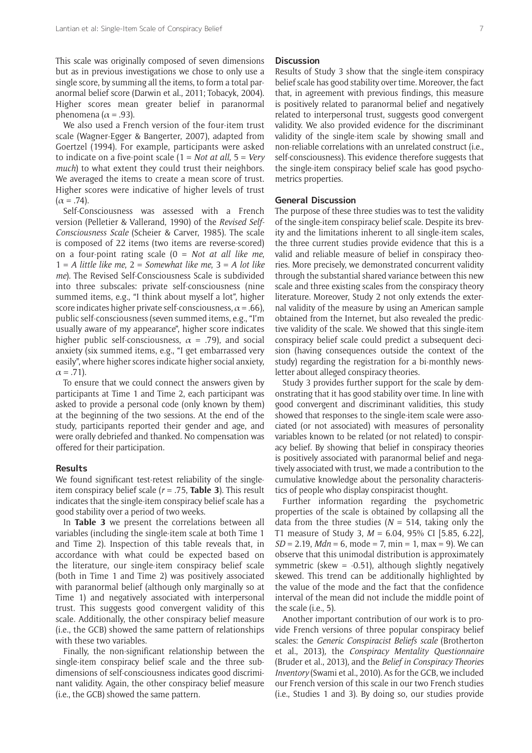This scale was originally composed of seven dimensions but as in previous investigations we chose to only use a single score, by summing all the items, to form a total paranormal belief score (Darwin et al., 2011; Tobacyk, 2004). Higher scores mean greater belief in paranormal phenomena ( $\alpha$  = .93).

We also used a French version of the four-item trust scale (Wagner-Egger & Bangerter, 2007), adapted from Goertzel (1994). For example, participants were asked to indicate on a five-point scale (1 = *Not at all*, 5 = *Very much*) to what extent they could trust their neighbors. We averaged the items to create a mean score of trust. Higher scores were indicative of higher levels of trust  $(\alpha = .74)$ .

Self-Consciousness was assessed with a French version (Pelletier & Vallerand, 1990) of the *Revised Self-Consciousness Scale* (Scheier & Carver, 1985). The scale is composed of 22 items (two items are reverse-scored) on a four-point rating scale (0 = *Not at all like me*, 1 = *A little like me*, 2 = *Somewhat like me*, 3 = *A lot like me*). The Revised Self-Consciousness Scale is subdivided into three subscales: private self-consciousness (nine summed items, e.g., "I think about myself a lot", higher score indicates higher private self-consciousness,  $\alpha$  = .66), public self-consciousness (seven summed items, e.g., "I'm usually aware of my appearance", higher score indicates higher public self-consciousness,  $\alpha$  = .79), and social anxiety (six summed items, e.g., "I get embarrassed very easily", where higher scores indicate higher social anxiety,  $\alpha = .71$ ).

To ensure that we could connect the answers given by participants at Time 1 and Time 2, each participant was asked to provide a personal code (only known by them) at the beginning of the two sessions. At the end of the study, participants reported their gender and age, and were orally debriefed and thanked. No compensation was offered for their participation.

#### **Results**

We found significant test-retest reliability of the singleitem conspiracy belief scale (*r* = .75, **Table 3**). This result indicates that the single-item conspiracy belief scale has a good stability over a period of two weeks.

In **Table 3** we present the correlations between all variables (including the single-item scale at both Time 1 and Time 2). Inspection of this table reveals that, in accordance with what could be expected based on the literature, our single-item conspiracy belief scale (both in Time 1 and Time 2) was positively associated with paranormal belief (although only marginally so at Time 1) and negatively associated with interpersonal trust. This suggests good convergent validity of this scale. Additionally, the other conspiracy belief measure (i.e., the GCB) showed the same pattern of relationships with these two variables.

Finally, the non-significant relationship between the single-item conspiracy belief scale and the three subdimensions of self-consciousness indicates good discriminant validity. Again, the other conspiracy belief measure (i.e., the GCB) showed the same pattern.

#### **Discussion**

Results of Study 3 show that the single-item conspiracy belief scale has good stability over time. Moreover, the fact that, in agreement with previous findings, this measure is positively related to paranormal belief and negatively related to interpersonal trust, suggests good convergent validity. We also provided evidence for the discriminant validity of the single-item scale by showing small and non-reliable correlations with an unrelated construct (i.e., self-consciousness). This evidence therefore suggests that the single-item conspiracy belief scale has good psychometrics properties.

# **General Discussion**

The purpose of these three studies was to test the validity of the single-item conspiracy belief scale. Despite its brevity and the limitations inherent to all single-item scales, the three current studies provide evidence that this is a valid and reliable measure of belief in conspiracy theories. More precisely, we demonstrated concurrent validity through the substantial shared variance between this new scale and three existing scales from the conspiracy theory literature. Moreover, Study 2 not only extends the external validity of the measure by using an American sample obtained from the Internet, but also revealed the predictive validity of the scale. We showed that this single-item conspiracy belief scale could predict a subsequent decision (having consequences outside the context of the study) regarding the registration for a bi-monthly newsletter about alleged conspiracy theories.

Study 3 provides further support for the scale by demonstrating that it has good stability over time. In line with good convergent and discriminant validities, this study showed that responses to the single-item scale were associated (or not associated) with measures of personality variables known to be related (or not related) to conspiracy belief. By showing that belief in conspiracy theories is positively associated with paranormal belief and negatively associated with trust, we made a contribution to the cumulative knowledge about the personality characteristics of people who display conspiracist thought.

Further information regarding the psychometric properties of the scale is obtained by collapsing all the data from the three studies ( $N = 514$ , taking only the T1 measure of Study 3, *M* = 6.04, 95% CI [5.85, 6.22],  $SD = 2.19$ , *Mdn* = 6, mode = 7, min = 1, max = 9). We can observe that this unimodal distribution is approximately symmetric (skew =  $-0.51$ ), although slightly negatively skewed. This trend can be additionally highlighted by the value of the mode and the fact that the confidence interval of the mean did not include the middle point of the scale (i.e., 5).

Another important contribution of our work is to provide French versions of three popular conspiracy belief scales: the *Generic Conspiracist Beliefs scale* (Brotherton et al., 2013)*,* the *Conspiracy Mentality Questionnaire* (Bruder et al., 2013)*,* and the *Belief in Conspiracy Theories Inventory* (Swami et al., 2010)*.* As for the GCB, we included our French version of this scale in our two French studies (i.e., Studies 1 and 3). By doing so, our studies provide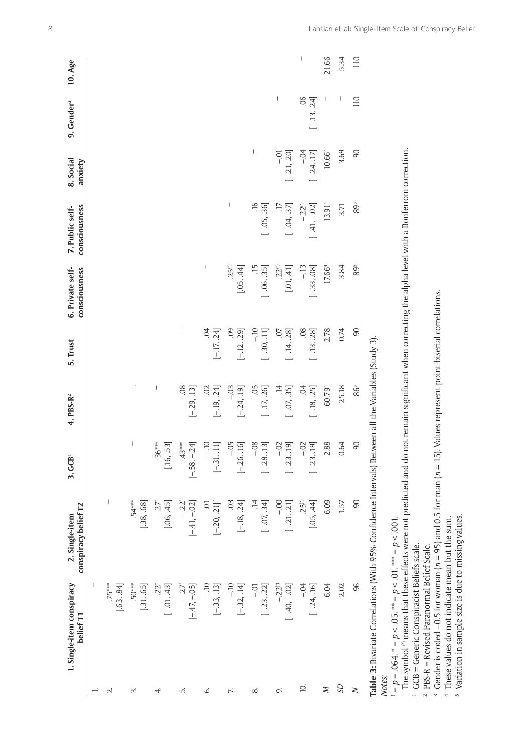|                                                                                  | 1. Single-item conspiracy<br>belief T1                                                                                                                                                                                                                   | conspiracy belief T2<br>2. Single-item                                                                                                                                                                                                                                                                                                                                                                 | $3.$ $GCB1$                           | 4. PBS-R <sup>2</sup>            | 5. Trust                             | 6. Private self-<br>consciousness        | consciousness<br>7. Public self-       | 8. Social<br>anxiety                                                                                                                                                                                                                                                                                                                                                             | 9. Gender <sup>3</sup> | 10. Age                                                                                                                                                                                                                                                                                                                                                                          |
|----------------------------------------------------------------------------------|----------------------------------------------------------------------------------------------------------------------------------------------------------------------------------------------------------------------------------------------------------|--------------------------------------------------------------------------------------------------------------------------------------------------------------------------------------------------------------------------------------------------------------------------------------------------------------------------------------------------------------------------------------------------------|---------------------------------------|----------------------------------|--------------------------------------|------------------------------------------|----------------------------------------|----------------------------------------------------------------------------------------------------------------------------------------------------------------------------------------------------------------------------------------------------------------------------------------------------------------------------------------------------------------------------------|------------------------|----------------------------------------------------------------------------------------------------------------------------------------------------------------------------------------------------------------------------------------------------------------------------------------------------------------------------------------------------------------------------------|
| $\div$                                                                           | -1                                                                                                                                                                                                                                                       |                                                                                                                                                                                                                                                                                                                                                                                                        |                                       |                                  |                                      |                                          |                                        |                                                                                                                                                                                                                                                                                                                                                                                  |                        |                                                                                                                                                                                                                                                                                                                                                                                  |
| $\overline{\sim}$                                                                | $.75***$<br>[.63, .84]                                                                                                                                                                                                                                   |                                                                                                                                                                                                                                                                                                                                                                                                        |                                       |                                  |                                      |                                          |                                        |                                                                                                                                                                                                                                                                                                                                                                                  |                        |                                                                                                                                                                                                                                                                                                                                                                                  |
| m                                                                                | $.50***$<br>[.31, .65]                                                                                                                                                                                                                                   | $.54***$<br>[.38, .68]                                                                                                                                                                                                                                                                                                                                                                                 |                                       |                                  |                                      |                                          |                                        |                                                                                                                                                                                                                                                                                                                                                                                  |                        |                                                                                                                                                                                                                                                                                                                                                                                  |
| 4.                                                                               | $22^{\dagger}$<br>$[-01, 43]$                                                                                                                                                                                                                            | [.06, .45]<br>ŻŻ                                                                                                                                                                                                                                                                                                                                                                                       | $6***$<br>.53<br>$\omega$<br>[.16, .] | $\mid$                           |                                      |                                          |                                        |                                                                                                                                                                                                                                                                                                                                                                                  |                        |                                                                                                                                                                                                                                                                                                                                                                                  |
| ட்                                                                               | $[-47, -05]$<br>$-27$ <sup>*</sup>                                                                                                                                                                                                                       | $[-41, -02]$<br>$-22^*$                                                                                                                                                                                                                                                                                                                                                                                | $-43***$<br>[-58, -24]                | $-0.08$<br>$[-.29, .13]$         |                                      |                                          |                                        |                                                                                                                                                                                                                                                                                                                                                                                  |                        |                                                                                                                                                                                                                                                                                                                                                                                  |
| ن                                                                                | $-10$<br>$[-33, 13]$                                                                                                                                                                                                                                     | $[-.20, .21]^4$<br>Ξ.                                                                                                                                                                                                                                                                                                                                                                                  | $-10$<br>$[-31, 11]$                  | $[-.19, .24]$<br>$\overline{0}$  | $\ddot{\mathrm{C}}$<br>$[-.17, .24]$ | I                                        |                                        |                                                                                                                                                                                                                                                                                                                                                                                  |                        |                                                                                                                                                                                                                                                                                                                                                                                  |
| Z.                                                                               | $-10$<br>$[-32, 14]$                                                                                                                                                                                                                                     | 0 <sup>3</sup><br>$[-.18, .24]$                                                                                                                                                                                                                                                                                                                                                                        | $-0.5$<br>$[-.26, .16]$               | $-03$<br>$[-.24, .19]$           | 09<br>$[-.12, .29]$                  | $25(*)$<br>[.05, .44]                    | $\overline{\phantom{a}}$               |                                                                                                                                                                                                                                                                                                                                                                                  |                        |                                                                                                                                                                                                                                                                                                                                                                                  |
| ∞ं                                                                               | $-5$<br>$[-.23, .22]$                                                                                                                                                                                                                                    | $\vec{z}$<br>$[-07, .34]$                                                                                                                                                                                                                                                                                                                                                                              | $-08$<br>$[-.28, .13]$                | $[-17, 26]$                      | $-10$<br>$[-30, 11]$                 | $[-.06, .35]$                            | $[-.05, .36]$                          | $\begin{array}{c} \rule{0pt}{2.5ex} \rule{0pt}{2.5ex} \rule{0pt}{2.5ex} \rule{0pt}{2.5ex} \rule{0pt}{2.5ex} \rule{0pt}{2.5ex} \rule{0pt}{2.5ex} \rule{0pt}{2.5ex} \rule{0pt}{2.5ex} \rule{0pt}{2.5ex} \rule{0pt}{2.5ex} \rule{0pt}{2.5ex} \rule{0pt}{2.5ex} \rule{0pt}{2.5ex} \rule{0pt}{2.5ex} \rule{0pt}{2.5ex} \rule{0pt}{2.5ex} \rule{0pt}{2.5ex} \rule{0pt}{2.5ex} \rule{0$ |                        |                                                                                                                                                                                                                                                                                                                                                                                  |
| o,                                                                               | $-22$ <sup>(*)</sup><br>$[-40, -02]$                                                                                                                                                                                                                     | $-00 -$<br>$[-21, 21]$                                                                                                                                                                                                                                                                                                                                                                                 | $-0.2$<br>$[-.23, .19]$               | $\overline{14}$<br>$[-.07, .35]$ | $\overline{0}$<br>$[-.14, .28]$      | $.22^{(*)}$<br>$\left[ .01, .41 \right]$ | $\overline{17}$<br>$[-04, .37]$        | $-0.0 -$<br>$[-.21, .20]$                                                                                                                                                                                                                                                                                                                                                        | $\mid$                 |                                                                                                                                                                                                                                                                                                                                                                                  |
| $\overline{a}$                                                                   | $-0.4$<br>$[-.24, .16]$                                                                                                                                                                                                                                  | $.25(*)$<br>[.05, .44]                                                                                                                                                                                                                                                                                                                                                                                 | $-.02$<br>$[-.23, .19]$               | Ś,<br>$[-.18, .25]$              | $[-.13, .28]$                        | $-13$<br>$[-.33, .08]$                   | $-0.22$ <sup>(*)</sup><br>$[-41, -02]$ | $-0.4$<br>$[-24, 17]$                                                                                                                                                                                                                                                                                                                                                            | 06<br>$[-.13, .24]$    | $\begin{array}{c} \rule{0pt}{2.5ex} \rule{0pt}{2.5ex} \rule{0pt}{2.5ex} \rule{0pt}{2.5ex} \rule{0pt}{2.5ex} \rule{0pt}{2.5ex} \rule{0pt}{2.5ex} \rule{0pt}{2.5ex} \rule{0pt}{2.5ex} \rule{0pt}{2.5ex} \rule{0pt}{2.5ex} \rule{0pt}{2.5ex} \rule{0pt}{2.5ex} \rule{0pt}{2.5ex} \rule{0pt}{2.5ex} \rule{0pt}{2.5ex} \rule{0pt}{2.5ex} \rule{0pt}{2.5ex} \rule{0pt}{2.5ex} \rule{0$ |
| N                                                                                | 6.04                                                                                                                                                                                                                                                     | 6.09                                                                                                                                                                                                                                                                                                                                                                                                   | 2.88                                  | 60.794                           | 2.78                                 | 17.66 <sup>4</sup>                       | 13.91 <sup>4</sup>                     | 10.66 <sup>4</sup>                                                                                                                                                                                                                                                                                                                                                               |                        | 21.66                                                                                                                                                                                                                                                                                                                                                                            |
| SD                                                                               | 2.02                                                                                                                                                                                                                                                     | 1.57                                                                                                                                                                                                                                                                                                                                                                                                   | 0.64                                  | 25.18                            | 0.74                                 | 3.84                                     | 3.71                                   | 3.69                                                                                                                                                                                                                                                                                                                                                                             |                        | 5.34                                                                                                                                                                                                                                                                                                                                                                             |
| $\geq$                                                                           | 96                                                                                                                                                                                                                                                       | $\overline{0}$                                                                                                                                                                                                                                                                                                                                                                                         | $\overline{0}$                        | 865                              | 90                                   | 895                                      | 895                                    | 90                                                                                                                                                                                                                                                                                                                                                                               | 110                    | 110                                                                                                                                                                                                                                                                                                                                                                              |
| Notes:<br>$\overline{a}$<br>$\overline{a}$<br>$\overline{5}$<br>$\sim$<br>$\sim$ | Variation in sample size is due to missing values<br>These values do not indicate mean but the sum.<br>$t = p = .064. * = p < .05. * = p < .01. * * = p < .001$<br>GCB = Generic Conspiracist Beliefs scale.<br>PBS-R = Revised Paranormal Belief Scale. | The symbol <sup>(*)</sup> means that these effects were not predicted and do not remain significant when correcting the alpha level with a Bonferroni correction.<br>Gender is coded $-0.5$ for woman ( $n = 95$ ) and 0.5 for man ( $n = 15$ ). Values represent point-biserial correlations.<br>Table 3: Bivariate Correlations (With 95% Confidence Intervals) Between all the Variables (Study 3). |                                       |                                  |                                      |                                          |                                        |                                                                                                                                                                                                                                                                                                                                                                                  |                        |                                                                                                                                                                                                                                                                                                                                                                                  |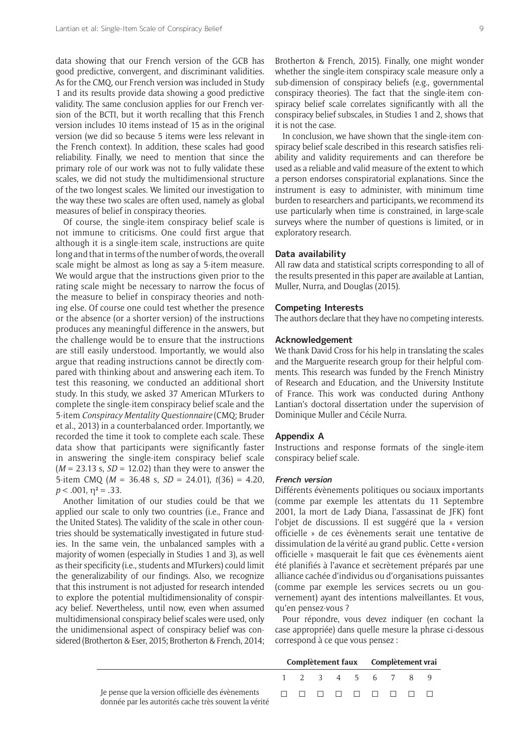data showing that our French version of the GCB has good predictive, convergent, and discriminant validities. As for the CMQ, our French version was included in Study 1 and its results provide data showing a good predictive validity. The same conclusion applies for our French version of the BCTI, but it worth recalling that this French version includes 10 items instead of 15 as in the original version (we did so because 5 items were less relevant in the French context). In addition, these scales had good reliability. Finally, we need to mention that since the primary role of our work was not to fully validate these scales, we did not study the multidimensional structure of the two longest scales. We limited our investigation to the way these two scales are often used, namely as global measures of belief in conspiracy theories.

Of course, the single-item conspiracy belief scale is not immune to criticisms. One could first argue that although it is a single-item scale, instructions are quite long and that in terms of the number of words, the overall scale might be almost as long as say a 5-item measure. We would argue that the instructions given prior to the rating scale might be necessary to narrow the focus of the measure to belief in conspiracy theories and nothing else. Of course one could test whether the presence or the absence (or a shorter version) of the instructions produces any meaningful difference in the answers, but the challenge would be to ensure that the instructions are still easily understood. Importantly, we would also argue that reading instructions cannot be directly compared with thinking about and answering each item. To test this reasoning, we conducted an additional short study. In this study, we asked 37 American MTurkers to complete the single-item conspiracy belief scale and the 5-item *Conspiracy Mentality Questionnaire* (CMQ; Bruder et al., 2013) in a counterbalanced order. Importantly, we recorded the time it took to complete each scale. These data show that participants were significantly faster in answering the single-item conspiracy belief scale (*M* = 23.13 s, *SD* = 12.02) than they were to answer the 5-item CMQ (*M* = 36.48 s, *SD* = 24.01), *t*(36) = 4.20,  $p < .001$ ,  $\eta^2 = .33$ .

Another limitation of our studies could be that we applied our scale to only two countries (i.e., France and the United States). The validity of the scale in other countries should be systematically investigated in future studies. In the same vein, the unbalanced samples with a majority of women (especially in Studies 1 and 3), as well as their specificity (i.e., students and MTurkers) could limit the generalizability of our findings. Also, we recognize that this instrument is not adjusted for research intended to explore the potential multidimensionality of conspiracy belief. Nevertheless, until now, even when assumed multidimensional conspiracy belief scales were used, only the unidimensional aspect of conspiracy belief was considered (Brotherton & Eser, 2015; Brotherton & French, 2014;

Brotherton & French, 2015). Finally, one might wonder whether the single-item conspiracy scale measure only a sub-dimension of conspiracy beliefs (e.g., governmental conspiracy theories). The fact that the single-item conspiracy belief scale correlates significantly with all the conspiracy belief subscales, in Studies 1 and 2, shows that it is not the case.

In conclusion, we have shown that the single-item conspiracy belief scale described in this research satisfies reliability and validity requirements and can therefore be used as a reliable and valid measure of the extent to which a person endorses conspiratorial explanations. Since the instrument is easy to administer, with minimum time burden to researchers and participants, we recommend its use particularly when time is constrained, in large-scale surveys where the number of questions is limited, or in exploratory research.

# **Data availability**

All raw data and statistical scripts corresponding to all of the results presented in this paper are available at Lantian, Muller, Nurra, and Douglas (2015).

#### **Competing Interests**

The authors declare that they have no competing interests.

#### **Acknowledgement**

We thank David Cross for his help in translating the scales and the Marguerite research group for their helpful comments. This research was funded by the French Ministry of Research and Education, and the University Institute of France. This work was conducted during Anthony Lantian's doctoral dissertation under the supervision of Dominique Muller and Cécile Nurra.

# **Appendix A**

Instructions and response formats of the single-item conspiracy belief scale.

#### **French version**

Différents évènements politiques ou sociaux importants (comme par exemple les attentats du 11 Septembre 2001, la mort de Lady Diana, l'assassinat de JFK) font l'objet de discussions. Il est suggéré que la « version officielle » de ces évènements serait une tentative de dissimulation de la vérité au grand public. Cette « version officielle » masquerait le fait que ces évènements aient été planifiés à l'avance et secrètement préparés par une alliance cachée d'individus ou d'organisations puissantes (comme par exemple les services secrets ou un gouvernement) ayant des intentions malveillantes. Et vous, qu'en pensez-vous ?

Pour répondre, vous devez indiquer (en cochant la case appropriée) dans quelle mesure la phrase ci-dessous correspond à ce que vous pensez :

|                                                       |  | Complètement faux Complètement vrai |  |  |                   |  |  |  |  |
|-------------------------------------------------------|--|-------------------------------------|--|--|-------------------|--|--|--|--|
|                                                       |  |                                     |  |  | 1 2 3 4 5 6 7 8 9 |  |  |  |  |
| donnée par les autorités cache très souvent la vérité |  |                                     |  |  |                   |  |  |  |  |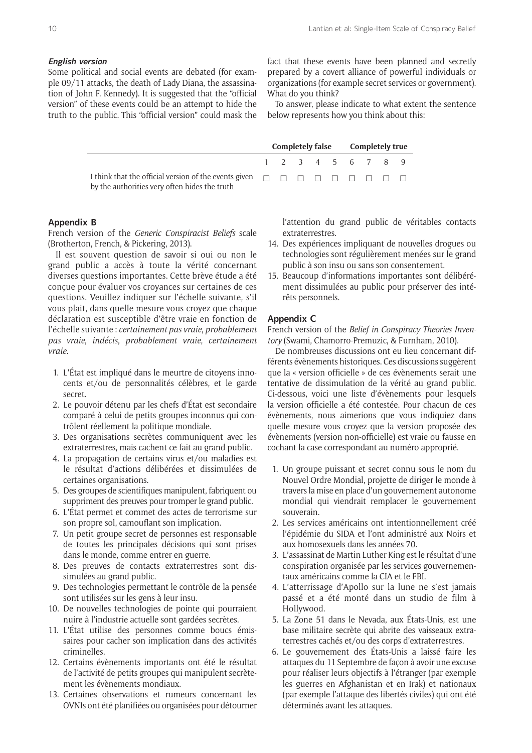# **English version**

Some political and social events are debated (for example 09/11 attacks, the death of Lady Diana, the assassination of John F. Kennedy). It is suggested that the "official version" of these events could be an attempt to hide the truth to the public. This "official version" could mask the fact that these events have been planned and secretly prepared by a covert alliance of powerful individuals or organizations (for example secret services or government). What do you think?

To answer, please indicate to what extent the sentence below represents how you think about this:

**Completely false Completely true**

|                                               |  |  |  | 1 2 3 4 5 6 7 8 9 |  |
|-----------------------------------------------|--|--|--|-------------------|--|
| by the authorities very often hides the truth |  |  |  |                   |  |

# **Appendix B**

French version of the *Generic Conspiracist Beliefs* scale (Brotherton, French, & Pickering, 2013).

Il est souvent question de savoir si oui ou non le grand public a accès à toute la vérité concernant diverses questions importantes. Cette brève étude a été conçue pour évaluer vos croyances sur certaines de ces questions. Veuillez indiquer sur l'échelle suivante, s'il vous plait, dans quelle mesure vous croyez que chaque déclaration est susceptible d'être vraie en fonction de l'échelle suivante : *certainement pas vraie*, *probablement pas vraie*, *indécis*, *probablement vraie*, *certainement vraie*.

- 1. L'État est impliqué dans le meurtre de citoyens innocents et/ou de personnalités célèbres, et le garde secret.
- 2. Le pouvoir détenu par les chefs d'État est secondaire comparé à celui de petits groupes inconnus qui contrôlent réellement la politique mondiale.
- 3. Des organisations secrètes communiquent avec les extraterrestres, mais cachent ce fait au grand public.
- 4. La propagation de certains virus et/ou maladies est le résultat d'actions délibérées et dissimulées de certaines organisations.
- 5. Des groupes de scientifiques manipulent, fabriquent ou suppriment des preuves pour tromper le grand public.
- 6. L'État permet et commet des actes de terrorisme sur son propre sol, camouflant son implication.
- 7. Un petit groupe secret de personnes est responsable de toutes les principales décisions qui sont prises dans le monde, comme entrer en guerre.
- 8. Des preuves de contacts extraterrestres sont dissimulées au grand public.
- 9. Des technologies permettant le contrôle de la pensée sont utilisées sur les gens à leur insu.
- 10. De nouvelles technologies de pointe qui pourraient nuire à l'industrie actuelle sont gardées secrètes.
- 11. L'État utilise des personnes comme boucs émissaires pour cacher son implication dans des activités criminelles.
- 12. Certains évènements importants ont été le résultat de l'activité de petits groupes qui manipulent secrètement les évènements mondiaux.
- 13. Certaines observations et rumeurs concernant les OVNIs ont été planifiées ou organisées pour détourner

l'attention du grand public de véritables contacts extraterrestres.

- 14. Des expériences impliquant de nouvelles drogues ou technologies sont régulièrement menées sur le grand public à son insu ou sans son consentement.
- 15. Beaucoup d'informations importantes sont délibérément dissimulées au public pour préserver des intérêts personnels.

# **Appendix C**

French version of the *Belief in Conspiracy Theories Inventory* (Swami, Chamorro-Premuzic, & Furnham, 2010).

De nombreuses discussions ont eu lieu concernant différents évènements historiques. Ces discussions suggèrent que la « version officielle » de ces évènements serait une tentative de dissimulation de la vérité au grand public. Ci-dessous, voici une liste d'évènements pour lesquels la version officielle a été contestée. Pour chacun de ces évènements, nous aimerions que vous indiquiez dans quelle mesure vous croyez que la version proposée des évènements (version non-officielle) est vraie ou fausse en cochant la case correspondant au numéro approprié.

- 1. Un groupe puissant et secret connu sous le nom du Nouvel Ordre Mondial, projette de diriger le monde à travers la mise en place d'un gouvernement autonome mondial qui viendrait remplacer le gouvernement souverain.
- 2. Les services américains ont intentionnellement créé l'épidémie du SIDA et l'ont administré aux Noirs et aux homosexuels dans les années 70.
- 3. L'assassinat de Martin Luther King est le résultat d'une conspiration organisée par les services gouvernementaux américains comme la CIA et le FBI.
- 4. L'atterrissage d'Apollo sur la lune ne s'est jamais passé et a été monté dans un studio de film à Hollywood.
- 5. La Zone 51 dans le Nevada, aux États-Unis, est une base militaire secrète qui abrite des vaisseaux extraterrestres cachés et/ou des corps d'extraterrestres.
- 6. Le gouvernement des États-Unis a laissé faire les attaques du 11 Septembre de façon à avoir une excuse pour réaliser leurs objectifs à l'étranger (par exemple les guerres en Afghanistan et en Irak) et nationaux (par exemple l'attaque des libertés civiles) qui ont été déterminés avant les attaques.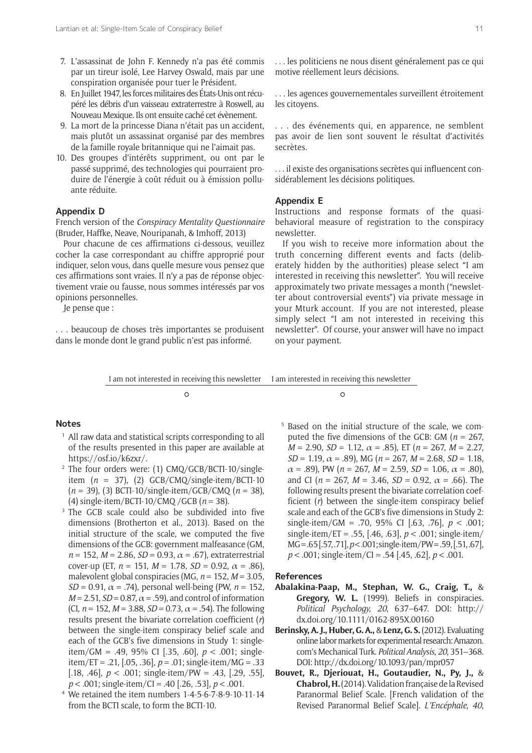- 7. L'assassinat de John F. Kennedy n'a pas été commis par un tireur isolé, Lee Harvey Oswald, mais par une conspiration organisée pour tuer le Président.
- 8. En Juillet 1947, les forces militaires des États-Unis ont récupéré les débris d'un vaisseau extraterrestre à Roswell, au Nouveau Mexique. Ils ont ensuite caché cet évènement.
- 9. La mort de la princesse Diana n'était pas un accident, mais plutôt un assassinat organisé par des membres de la famille royale britannique qui ne l'aimait pas.
- 10. Des groupes d'intérêts suppriment, ou ont par le passé supprimé, des technologies qui pourraient produire de l'énergie à coût réduit ou à émission polluante réduite.

# **Appendix D**

French version of the *Conspiracy Mentality Questionnaire* (Bruder, Haffke, Neave, Nouripanah, & Imhoff, 2013)

Pour chacune de ces affirmations ci-dessous, veuillez cocher la case correspondant au chiffre approprié pour indiquer, selon vous, dans quelle mesure vous pensez que ces affirmations sont vraies. Il n'y a pas de réponse objectivement vraie ou fausse, nous sommes intéressés par vos opinions personnelles.

Je pense que :

. . . beaucoup de choses très importantes se produisent dans le monde dont le grand public n'est pas informé.

. . . les politiciens ne nous disent généralement pas ce qui motive réellement leurs décisions.

. . . les agences gouvernementales surveillent étroitement les citoyens.

. . . des événements qui, en apparence, ne semblent pas avoir de lien sont souvent le résultat d'activités secrètes.

. . . il existe des organisations secrètes qui influencent considérablement les décisions politiques.

# **Appendix E**

Instructions and response formats of the quasibehavioral measure of registration to the conspiracy newsletter.

If you wish to receive more information about the truth concerning different events and facts (deliberately hidden by the authorities) please select "I am interested in receiving this newsletter". You will receive approximately two private messages a month ("newsletter about controversial events") via private message in your Mturk account. If you are not interested, please simply select "I am not interested in receiving this newsletter". Of course, your answer will have no impact on your payment.

I am not interested in receiving this newsletter I am interested in receiving this newsletter

 $\overline{\phantom{a}}$ 

#### **Notes**

- <sup>1</sup> All raw data and statistical scripts corresponding to all of the results presented in this paper are available at [https://osf.io/k6zxr/.](https://osf.io/k6zxr/)
- <sup>2</sup> The four orders were: (1) CMQ/GCB/BCTI-10/singleitem  $(n = 37)$ , (2) GCB/CMQ/single-item/BCTI-10 (*n* = 39), (3) BCTI-10/single-item/GCB/CMQ (*n* = 38), (4) single-item/BCTI-10/CMQ /GCB (*n* = 38).
- <sup>3</sup> The GCB scale could also be subdivided into five dimensions (Brotherton et al., 2013). Based on the initial structure of the scale, we computed the five dimensions of the GCB: government malfeasance (GM,  $n = 152$ ,  $M = 2.86$ ,  $SD = 0.93$ ,  $\alpha = .67$ ), extraterrestrial cover-up (ET,  $n = 151$ ,  $M = 1.78$ ,  $SD = 0.92$ ,  $\alpha = .86$ ), malevolent global conspiracies (MG, *n* = 152, *M* = 3.05, *SD* = 0.91,  $\alpha$  = .74), personal well-being (PW,  $n = 152$ ,  $M = 2.51$ ,  $SD = 0.87$ ,  $\alpha = .59$ ), and control of information (CI,  $n = 152$ ,  $M = 3.88$ ,  $SD = 0.73$ ,  $\alpha = .54$ ). The following results present the bivariate correlation coefficient (*r*) between the single-item conspiracy belief scale and each of the GCB's five dimensions in Study 1: singleitem/GM = .49, 95% CI [.35, .60], *p* < .001; singleitem/ET = .21, [.05, .36], *p* = .01; single-item/MG = .33 [.18, .46], *p* < .001; single-item/PW = .43, [.29, .55], *p* < .001; single-item/CI = .40 [.26, .53], *p* < .001.
- <sup>4</sup> We retained the item numbers 1-4-5-6-7-8-9-10-11-14 from the BCTI scale, to form the BCTI-10.

<sup>5</sup> Based on the initial structure of the scale, we computed the five dimensions of the GCB: GM  $(n = 267)$ . *M* = 2.90, *SD* = 1.12,  $\alpha$  = .85), ET ( $n = 267$ , *M* = 2.27, *SD* = 1.19,  $\alpha$  = .89), MG ( $n = 267$ ,  $M = 2.68$ , *SD* = 1.18,  $\alpha$  = .89), PW ( $n = 267$ ,  $M = 2.59$ ,  $SD = 1.06$ ,  $\alpha$  = .80), and CI ( $n = 267$ ,  $M = 3.46$ ,  $SD = 0.92$ ,  $\alpha = .66$ ). The following results present the bivariate correlation coefficient (*r*) between the single-item conspiracy belief scale and each of the GCB's five dimensions in Study 2: single-item/GM = .70, 95% CI [.63, .76], *p* < .001; single-item/ET = .55, [.46, .63], *p* < .001; single-item/ MG = .65 [.57, .71], *p* < .001; single-item/PW = .59, [.51, .67], *p* < .001; single-item/CI = .54 [.45, .62], *p* < .001.

#### **References**

- **Abalakina-Paap, M., Stephan, W. G., Craig, T.,** & **Gregory, W. L.** (1999). Beliefs in conspiracies. *Political Psychology, 20*, 637–647. DOI: [http://](http://dx.doi.org/10.1111/0162-895X.00160) [dx.doi.org/10.1111/0162-895X.00160](http://dx.doi.org/10.1111/0162-895X.00160)
- **Berinsky, A. J., Huber, G. A.,** & **Lenz, G. S.** (2012). Evaluating online labor markets for experimental research: Amazon. com's Mechanical Turk. *Political Analysis, 20*, 351–368. DOI: <http://dx.doi.org/10.1093/pan/mpr057>
- **Bouvet, R., Djeriouat, H., Goutaudier, N., Py, J.,** & **Chabrol, H.** (2014). Validation française de la Revised Paranormal Belief Scale. [French validation of the Revised Paranormal Belief Scale]. *L'Encéphale, 40*,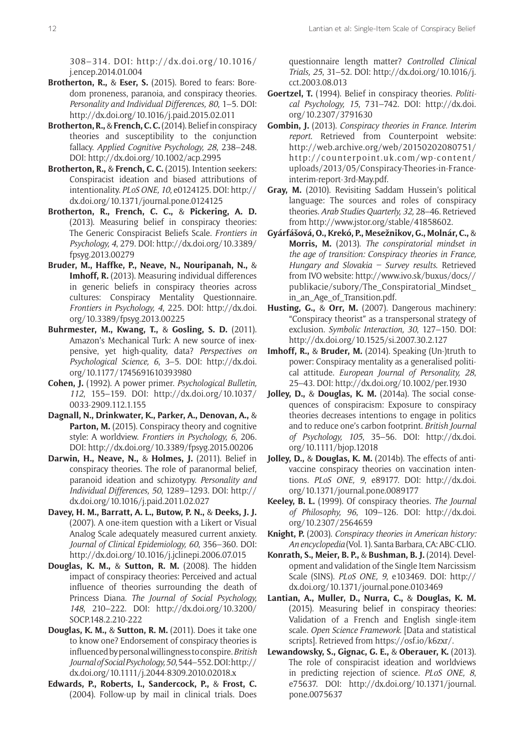308–314*.* DOI: [http://dx.doi.org/10.1016/](http://dx.doi.org/10.1016/j.encep.2014.01.004) [j.encep.2014.01.004](http://dx.doi.org/10.1016/j.encep.2014.01.004)

- **Brotherton, R.,** & **Eser, S.** (2015). Bored to fears: Boredom proneness, paranoia, and conspiracy theories. *Personality and Individual Differences, 80*, 1–5. DOI: <http://dx.doi.org/10.1016/j.paid.2015.02.011>
- **Brotherton, R.,** & **French, C. C.** (2014). Belief in conspiracy theories and susceptibility to the conjunction fallacy. *Applied Cognitive Psychology, 28*, 238–248. DOI: <http://dx.doi.org/10.1002/acp.2995>
- **Brotherton, R.,** & **French, C. C.** (2015). Intention seekers: Conspiracist ideation and biased attributions of intentionality. *PLoS ONE, 10*, e0124125. DOI: [http://](http://dx.doi.org/10.1371/journal.pone.0124125) [dx.doi.org/10.1371/journal.pone.0124125](http://dx.doi.org/10.1371/journal.pone.0124125)
- **Brotherton, R., French, C. C.,** & **Pickering, A. D.** (2013). Measuring belief in conspiracy theories: The Generic Conspiracist Beliefs Scale. *Frontiers in Psychology, 4*, 279. DOI: [http://dx.doi.org/10.3389/](http://dx.doi.org/10.3389/fpsyg.2013.00279) [fpsyg.2013.00279](http://dx.doi.org/10.3389/fpsyg.2013.00279)
- **Bruder, M., Haffke, P., Neave, N., Nouripanah, N.,** & **Imhoff, R.** (2013). Measuring individual differences in generic beliefs in conspiracy theories across cultures: Conspiracy Mentality Questionnaire. *Frontiers in Psychology, 4*, 225. DOI: [http://dx.doi.](http://dx.doi.org/10.3389/fpsyg.2013.00225) [org/10.3389/fpsyg.2013.00225](http://dx.doi.org/10.3389/fpsyg.2013.00225)
- **Buhrmester, M., Kwang, T.,** & **Gosling, S. D.** (2011). Amazon's Mechanical Turk: A new source of inexpensive, yet high-quality, data? *Perspectives on Psychological Science, 6*, 3–5. DOI: [http://dx.doi.](http://dx.doi.org/10.1177/1745691610393980) [org/10.1177/1745691610393980](http://dx.doi.org/10.1177/1745691610393980)
- **Cohen, J.** (1992). A power primer. *Psychological Bulletin, 112*, 155–159. DOI: [http://dx.doi.org/10.1037/](http://dx.doi.org/10.1037/0033-2909.112.1.155) [0033-2909.112.1.155](http://dx.doi.org/10.1037/0033-2909.112.1.155)
- **Dagnall, N., Drinkwater, K., Parker, A., Denovan, A.,** & **Parton, M.** (2015). Conspiracy theory and cognitive style: A worldview. *Frontiers in Psychology, 6*, 206. DOI: <http://dx.doi.org/10.3389/fpsyg.2015.00206>
- **Darwin, H., Neave, N.,** & **Holmes, J.** (2011). Belief in conspiracy theories. The role of paranormal belief, paranoid ideation and schizotypy. *Personality and Individual Differences, 50*, 1289–1293. DOI: [http://](http://dx.doi.org/10.1016/j.paid.2011.02.027) [dx.doi.org/10.1016/j.paid.2011.02.027](http://dx.doi.org/10.1016/j.paid.2011.02.027)
- **Davey, H. M., Barratt, A. L., Butow, P. N.,** & **Deeks, J. J.** (2007). A one-item question with a Likert or Visual Analog Scale adequately measured current anxiety. *Journal of Clinical Epidemiology, 60*, 356–360. DOI: <http://dx.doi.org/10.1016/j.jclinepi.2006.07.015>
- **Douglas, K. M.,** & **Sutton, R. M.** (2008). The hidden impact of conspiracy theories: Perceived and actual influence of theories surrounding the death of Princess Diana. *The Journal of Social Psychology, 148*, 210–222. DOI: [http://dx.doi.org/10.3200/](http://dx.doi.org/10.3200/SOCP.148.2.210-222) [SOCP.148.2.210-222](http://dx.doi.org/10.3200/SOCP.148.2.210-222)
- **Douglas, K. M.,** & **Sutton, R. M.** (2011). Does it take one to know one? Endorsement of conspiracy theories is influenced by personal willingness to conspire. *British Journal of Social Psychology,50*, 544–552. DOI: [http://](http://dx.doi.org/10.1111/j.2044-8309.2010.02018.x) [dx.doi.org/10.1111/j.2044-8309.2010.02018.x](http://dx.doi.org/10.1111/j.2044-8309.2010.02018.x)
- **Edwards, P., Roberts, I., Sandercock, P.,** & **Frost, C.** (2004). Follow-up by mail in clinical trials. Does

questionnaire length matter? *Controlled Clinical Trials, 25*, 31–52. DOI: [http://dx.doi.org/10.1016/j.](http://dx.doi.org/10.1016/j.cct.2003.08.013) [cct.2003.08.013](http://dx.doi.org/10.1016/j.cct.2003.08.013)

- **Goertzel, T.** (1994). Belief in conspiracy theories. *Political Psychology, 15*, 731–742. DOI: [http://dx.doi.](http://dx.doi.org/10.2307/3791630) [org/10.2307/3791630](http://dx.doi.org/10.2307/3791630)
- **Gombin, J.** (2013). *Conspiracy theories in France*. *Interim report*. Retrieved from Counterpoint website: [http://web.archive.org/web/20150202080751/](http://web.archive.org/web/20150202080751/http://counterpoint.uk.com/wp-content/uploads/2013/05/Conspiracy-Theories-in-France-interim-report-3rd-May.pdf) [http://counterpoint.uk.com/wp-content/](http://web.archive.org/web/20150202080751/http://counterpoint.uk.com/wp-content/uploads/2013/05/Conspiracy-Theories-in-France-interim-report-3rd-May.pdf) [uploads/2013/05/Conspiracy-Theories-in-France](http://web.archive.org/web/20150202080751/http://counterpoint.uk.com/wp-content/uploads/2013/05/Conspiracy-Theories-in-France-interim-report-3rd-May.pdf)[interim-report-3rd-May.pdf.](http://web.archive.org/web/20150202080751/http://counterpoint.uk.com/wp-content/uploads/2013/05/Conspiracy-Theories-in-France-interim-report-3rd-May.pdf)
- **Gray, M.** (2010). Revisiting Saddam Hussein's political language: The sources and roles of conspiracy theories. *Arab Studies Quarterly, 32,* 28–46. Retrieved from <http://www.jstor.org/stable/41858602>.
- **Gyárfášová, O., Krekó, P., Mesežnikov, G., Molnár, C.,** & **Morris, M.** (2013). *The conspiratorial mindset in the age of transition: Conspiracy theories in France, Hungary and Slovakia – Survey results*. Retrieved from IVO website: [http://www.ivo.sk/buxus/docs//](http://www.ivo.sk/buxus/docs//publikacie/subory/The_Conspiratorial_Mindset_in_an_Age_of_Transition.pdf) [publikacie/subory/The\\_Conspiratorial\\_Mindset\\_](http://www.ivo.sk/buxus/docs//publikacie/subory/The_Conspiratorial_Mindset_in_an_Age_of_Transition.pdf) [in\\_an\\_Age\\_of\\_Transition.pdf.](http://www.ivo.sk/buxus/docs//publikacie/subory/The_Conspiratorial_Mindset_in_an_Age_of_Transition.pdf)
- **Husting, G.,** & **Orr, M.** (2007). Dangerous machinery: "Conspiracy theorist" as a transpersonal strategy of exclusion. *Symbolic Interaction, 30*, 127–150. DOI: <http://dx.doi.org/10.1525/si.2007.30.2.127>
- **Imhoff, R.,** & **Bruder, M.** (2014). Speaking (Un-)truth to power: Conspiracy mentality as a generalised political attitude. *European Journal of Personality, 28*, 25–43. DOI:<http://dx.doi.org/10.1002/per.1930>
- **Jolley, D.,** & **Douglas, K. M.** (2014a). The social consequences of conspiracism: Exposure to conspiracy theories decreases intentions to engage in politics and to reduce one's carbon footprint. *British Journal of Psychology, 105*, 35–56. DOI: [http://dx.doi.](http://dx.doi.org/10.1111/bjop.12018) [org/10.1111/bjop.12018](http://dx.doi.org/10.1111/bjop.12018)
- **Jolley, D.,** & **Douglas, K. M.** (2014b). The effects of antivaccine conspiracy theories on vaccination intentions. *PLoS ONE, 9*, e89177. DOI: [http://dx.doi.](http://dx.doi.org/10.1371/journal.pone.0089177) [org/10.1371/journal.pone.0089177](http://dx.doi.org/10.1371/journal.pone.0089177)
- **Keeley, B. L.** (1999). Of conspiracy theories. *The Journal of Philosophy, 96*, 109–126. DOI: [http://dx.doi.](http://dx.doi.org/10.2307/2564659) [org/10.2307/2564659](http://dx.doi.org/10.2307/2564659)
- **Knight, P.** (2003). *Conspiracy theories in American history: An encyclopedia* (Vol. 1). Santa Barbara, CA: ABC-CLIO.
- **Konrath, S., Meier, B. P.,** & **Bushman, B. J.** (2014). Development and validation of the Single Item Narcissism Scale (SINS). *PLoS ONE, 9*, e103469. DOI: [http://](http://dx.doi.org/10.1371/journal.pone.0103469) [dx.doi.org/10.1371/journal.pone.0103469](http://dx.doi.org/10.1371/journal.pone.0103469)
- **Lantian, A., Muller, D., Nurra, C.,** & **Douglas, K. M.** (2015). Measuring belief in conspiracy theories: Validation of a French and English single-item scale. *Open Science Framework*. [Data and statistical scripts]. Retrieved from <https://osf.io/k6zxr/>.
- **Lewandowsky, S., Gignac, G. E.,** & **Oberauer, K.** (2013). The role of conspiracist ideation and worldviews in predicting rejection of science. *PLoS ONE, 8*, e75637. DOI: [http://dx.doi.org/10.1371/journal.](http://dx.doi.org/10.1371/journal.pone.0075637) [pone.0075637](http://dx.doi.org/10.1371/journal.pone.0075637)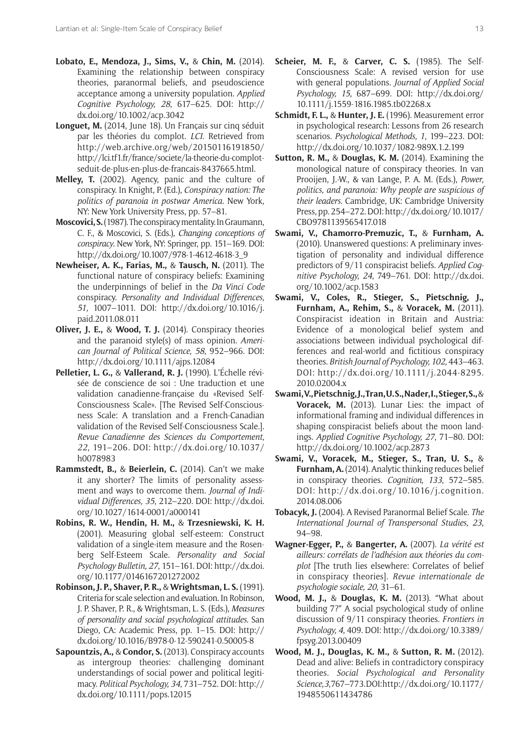- **Lobato, E., Mendoza, J., Sims, V.,** & **Chin, M.** (2014). Examining the relationship between conspiracy theories, paranormal beliefs, and pseudoscience acceptance among a university population. *Applied Cognitive Psychology, 28*, 617–625. DOI: [http://](http://dx.doi.org/10.1002/acp.3042) [dx.doi.org/10.1002/acp.3042](http://dx.doi.org/10.1002/acp.3042)
- **Longuet, M.** (2014, June 18). Un Français sur cinq séduit par les théories du complot. *LCI*. Retrieved from [http://web.archive.org/web/20150116191850/](http://web.archive.org/web/20150116191850/http://lci.tf1.fr/france/societe/la-theorie-du-complot-seduit-de-plus-en-plus-de-francais-8437665.html) [http://lci.tf1.fr/france/societe/la-theorie-du-complot](http://web.archive.org/web/20150116191850/http://lci.tf1.fr/france/societe/la-theorie-du-complot-seduit-de-plus-en-plus-de-francais-8437665.html)[seduit-de-plus-en-plus-de-francais-8437665.html](http://web.archive.org/web/20150116191850/http://lci.tf1.fr/france/societe/la-theorie-du-complot-seduit-de-plus-en-plus-de-francais-8437665.html).
- **Melley, T.** (2002). Agency, panic and the culture of conspiracy. In Knight, P. (Ed.), *Conspiracy nation: The politics of paranoia in postwar America*. New York, NY: New York University Press, pp. 57–81.
- **Moscovici, S.** (1987). The conspiracy mentality. In Graumann, C. F., & Moscovici, S. (Eds.), *Changing conceptions of conspiracy*. New York, NY: Springer, pp. 151–169. DOI: [http://dx.doi.org/10.1007/978-1-4612-4618-3\\_9](http://dx.doi.org/10.1007/978-1-4612-4618-3_9)
- **Newheiser, A. K., Farias, M.,** & **Tausch, N.** (2011). The functional nature of conspiracy beliefs: Examining the underpinnings of belief in the *Da Vinci Code* conspiracy. *Personality and Individual Differences, 51*, 1007–1011. DOI: [http://dx.doi.org/10.1016/j.](http://dx.doi.org/10.1016/j.paid.2011.08.011) [paid.2011.08.011](http://dx.doi.org/10.1016/j.paid.2011.08.011)
- **Oliver, J. E.,** & **Wood, T. J.** (2014). Conspiracy theories and the paranoid style(s) of mass opinion. *American Journal of Political Science, 58*, 952–966. DOI: <http://dx.doi.org/10.1111/ajps.12084>
- **Pelletier, L. G.,** & **Vallerand, R. J.** (1990). L'Échelle révisée de conscience de soi : Une traduction et une validation canadienne-française du «Revised Self-Consciousness Scale». [The Revised Self-Consciousness Scale: A translation and a French-Canadian validation of the Revised Self-Consciousness Scale.]. *Revue Canadienne des Sciences du Comportement, 22*, 191–206. DOI: [http://dx.doi.org/10.1037/](http://dx.doi.org/10.1037/h0078983) [h0078983](http://dx.doi.org/10.1037/h0078983)
- **Rammstedt, B.,** & **Beierlein, C.** (2014). Can't we make it any shorter? The limits of personality assessment and ways to overcome them. *Journal of Individual Differences, 35*, 212–220. DOI: [http://dx.doi.](http://dx.doi.org/10.1027/1614-0001/a000141) [org/10.1027/1614-0001/a000141](http://dx.doi.org/10.1027/1614-0001/a000141)
- **Robins, R. W., Hendin, H. M.,** & **Trzesniewski, K. H.** (2001). Measuring global self-esteem: Construct validation of a single-item measure and the Rosenberg Self-Esteem Scale. *Personality and Social Psychology Bulletin, 27*, 151–161. DOI: [http://dx.doi.](http://dx.doi.org/10.1177/0146167201272002) [org/10.1177/0146167201272002](http://dx.doi.org/10.1177/0146167201272002)
- **Robinson, J. P., Shaver, P. R.,** & **Wrightsman, L. S.** (1991). Criteria for scale selection and evaluation. In Robinson, J. P. Shaver, P. R., & Wrightsman, L. S. (Eds.), *Measures of personality and social psychological attitudes*. San Diego, CA: Academic Press, pp. 1–15. DOI: [http://](http://dx.doi.org/10.1016/B978-0-12-590241-0.50005-8) [dx.doi.org/10.1016/B978-0-12-590241-0.50005-8](http://dx.doi.org/10.1016/B978-0-12-590241-0.50005-8)
- **Sapountzis, A.,** & **Condor, S.** (2013). Conspiracy accounts as intergroup theories: challenging dominant understandings of social power and political legitimacy. *Political Psychology, 34*, 731–752. DOI: [http://](http://dx.doi.org/10.1111/pops.12015) [dx.doi.org/10.1111/pops.12015](http://dx.doi.org/10.1111/pops.12015)
- **Scheier, M. F.,** & **Carver, C. S.** (1985). The Self-Consciousness Scale: A revised version for use with general populations. *Journal of Applied Social Psychology, 15*, 687–699. DOI: [http://dx.doi.org/](http://dx.doi.org/10.1111/j.1559-1816.1985.tb02268.x) [10.1111/j.1559-1816.1985.tb02268.x](http://dx.doi.org/10.1111/j.1559-1816.1985.tb02268.x)
- **Schmidt, F. L.,** & **Hunter, J. E.** (1996). Measurement error in psychological research: Lessons from 26 research scenarios. *Psychological Methods, 1*, 199–223. DOI: <http://dx.doi.org/10.1037/1082-989X.1.2.199>
- **Sutton, R. M.,** & **Douglas, K. M.** (2014). Examining the monological nature of conspiracy theories. In van Prooijen, J.-W., & van Lange, P. A. M. (Eds.), *Power, politics, and paranoia: Why people are suspicious of their leaders*. Cambridge, UK: Cambridge University Press, pp. 254–272. DOI: [http://dx.doi.org/10.1017/](http://dx.doi.org/10.1017/CBO9781139565417.018) [CBO9781139565417.018](http://dx.doi.org/10.1017/CBO9781139565417.018)
- **Swami, V., Chamorro-Premuzic, T.,** & **Furnham, A.** (2010). Unanswered questions: A preliminary investigation of personality and individual difference predictors of 9/11 conspiracist beliefs. *Applied Cognitive Psychology, 24*, 749–761. DOI: [http://dx.doi.](http://dx.doi.org/10.1002/acp.1583) [org/10.1002/acp.1583](http://dx.doi.org/10.1002/acp.1583)
- **Swami, V., Coles, R., Stieger, S., Pietschnig, J., Furnham, A., Rehim, S.,** & **Voracek, M.** (2011). Conspiracist ideation in Britain and Austria: Evidence of a monological belief system and associations between individual psychological differences and real-world and fictitious conspiracy theories. *British Journal of Psychology, 102*, 443–463. DOI: [http://dx.doi.org/10.1111/j.2044-8295.](http://dx.doi.org/10.1111/j.2044-8295.2010.02004.x) [2010.02004.x](http://dx.doi.org/10.1111/j.2044-8295.2010.02004.x)
- **Swami, V., Pietschnig, J., Tran, U. S., Nader, I., Stieger, S.,** & **Voracek, M.** (2013). Lunar Lies: the impact of informational framing and individual differences in shaping conspiracist beliefs about the moon landings. *Applied Cognitive Psychology, 27*, 71–80. DOI: <http://dx.doi.org/10.1002/acp.2873>
- **Swami, V., Voracek, M., Stieger, S., Tran, U. S.,** & **Furnham, A.** (2014). Analytic thinking reduces belief in conspiracy theories. *Cognition, 133*, 572–585. DOI: [http://dx.doi.org/10.1016/j.cognition.](http://dx.doi.org/10.1016/j.cognition.2014.08.006) [2014.08.006](http://dx.doi.org/10.1016/j.cognition.2014.08.006)
- **Tobacyk, J.** (2004). A Revised Paranormal Belief Scale. *The International Journal of Transpersonal Studies, 23*, 94–98.
- **Wagner-Egger, P.,** & **Bangerter, A.** (2007). *La vérité est ailleurs: corrélats de l'adhésion aux théories du complot* [The truth lies elsewhere: Correlates of belief in conspiracy theories]. *Revue internationale de psychologie sociale, 20*, 31–61.
- **Wood, M. J.,** & **Douglas, K. M.** (2013). "What about building 7?" A social psychological study of online discussion of 9/11 conspiracy theories. *Frontiers in Psychology, 4*, 409. DOI: [http://dx.doi.org/10.3389/](http://dx.doi.org/10.3389/fpsyg.2013.00409) [fpsyg.2013.00409](http://dx.doi.org/10.3389/fpsyg.2013.00409)
- **Wood, M. J., Douglas, K. M.,** & **Sutton, R. M.** (2012). Dead and alive: Beliefs in contradictory conspiracy theories. *Social Psychological and Personality Science,3*, 767–773. DOI: [http://dx.doi.org/10.1177/](http://dx.doi.org/10.1177/1948550611434786) [1948550611434786](http://dx.doi.org/10.1177/1948550611434786)